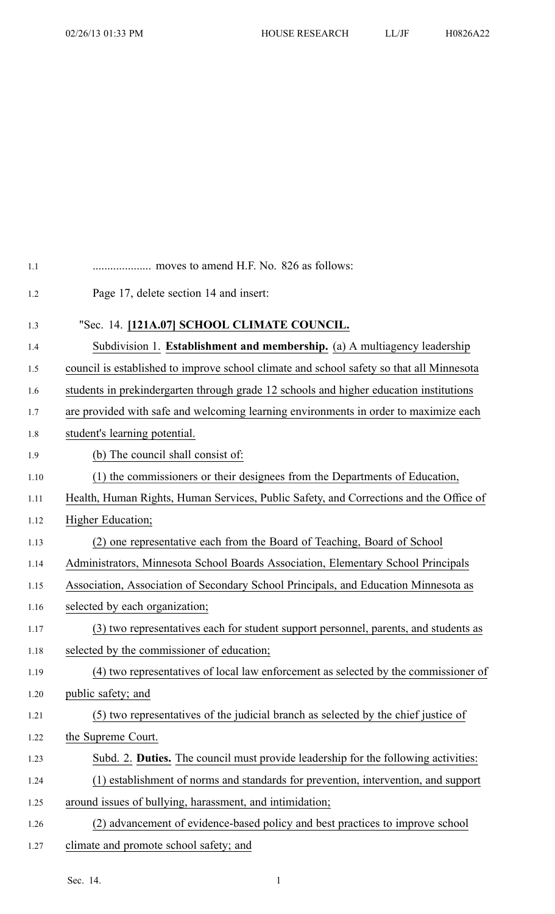| 1.1  |                                                                                          |
|------|------------------------------------------------------------------------------------------|
| 1.2  | Page 17, delete section 14 and insert:                                                   |
| 1.3  | "Sec. 14. [121A.07] SCHOOL CLIMATE COUNCIL.                                              |
| 1.4  | Subdivision 1. Establishment and membership. (a) A multiagency leadership                |
| 1.5  | council is established to improve school climate and school safety so that all Minnesota |
| 1.6  | students in prekindergarten through grade 12 schools and higher education institutions   |
| 1.7  | are provided with safe and welcoming learning environments in order to maximize each     |
| 1.8  | student's learning potential.                                                            |
| 1.9  | (b) The council shall consist of:                                                        |
| 1.10 | (1) the commissioners or their designees from the Departments of Education,              |
| 1.11 | Health, Human Rights, Human Services, Public Safety, and Corrections and the Office of   |
| 1.12 | Higher Education;                                                                        |
| 1.13 | (2) one representative each from the Board of Teaching, Board of School                  |
| 1.14 | Administrators, Minnesota School Boards Association, Elementary School Principals        |
| 1.15 | Association, Association of Secondary School Principals, and Education Minnesota as      |
| 1.16 | selected by each organization;                                                           |
| 1.17 | (3) two representatives each for student support personnel, parents, and students as     |
| 1.18 | selected by the commissioner of education;                                               |
| 1.19 | (4) two representatives of local law enforcement as selected by the commissioner of      |
| 1.20 | public safety; and                                                                       |
| 1.21 | (5) two representatives of the judicial branch as selected by the chief justice of       |
| 1.22 | the Supreme Court.                                                                       |
| 1.23 | Subd. 2. Duties. The council must provide leadership for the following activities:       |
| 1.24 | (1) establishment of norms and standards for prevention, intervention, and support       |
| 1.25 | around issues of bullying, harassment, and intimidation;                                 |
| 1.26 | (2) advancement of evidence-based policy and best practices to improve school            |
| 1.27 | climate and promote school safety; and                                                   |